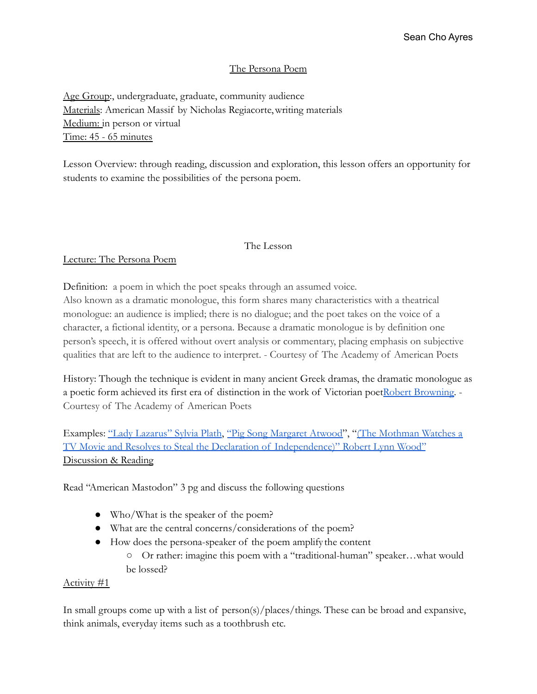## The Persona Poem

Age Group:, undergraduate, graduate, community audience Materials: American Massif by Nicholas Regiacorte,writing materials Medium: in person or virtual Time: 45 - 65 minutes

Lesson Overview: through reading, discussion and exploration, this lesson offers an opportunity for students to examine the possibilities of the persona poem.

#### The Lesson

## Lecture: The Persona Poem

Definition: a poem in which the poet speaks through an assumed voice.

Also known as a dramatic monologue, this form shares many characteristics with a theatrical monologue: an audience is implied; there is no dialogue; and the poet takes on the voice of a character, a fictional identity, or a persona. Because a dramatic monologue is by definition one person's speech, it is offered without overt analysis or commentary, placing emphasis on subjective qualities that are left to the audience to interpret. - Courtesy of The Academy of American Poets

History: Though the technique is evident in many ancient Greek dramas, the dramatic monologue as a poetic form achieved its first era of distinction in the work of Victorian poe[tRobert Browning.](https://poets.org/poet/robert-browning) - Courtesy of The Academy of American Poets

Examples: ["Lady Lazarus" Sylvia Plath,](https://poets.org/poem/lady-lazarus) ["Pig Song Margaret](https://www.poetryfoundation.org/poetrymagazine/poems/32772/pig-song) Atwood", ["\(The Mothman Watches a](https://yalereview.org/article/lynn-the-mothman-watches) [TV Movie and Resolves to Steal the Declaration of Independence\)" Robert Lynn Wood"](https://yalereview.org/article/lynn-the-mothman-watches) Discussion & Reading

Read "American Mastodon" 3 pg and discuss the following questions

- Who/What is the speaker of the poem?
- What are the central concerns/considerations of the poem?
- How does the persona-speaker of the poem amplify the content
	- Or rather: imagine this poem with a "traditional-human" speaker…what would be lossed?

## Activity #1

In small groups come up with a list of person(s)/places/things. These can be broad and expansive, think animals, everyday items such as a toothbrush etc.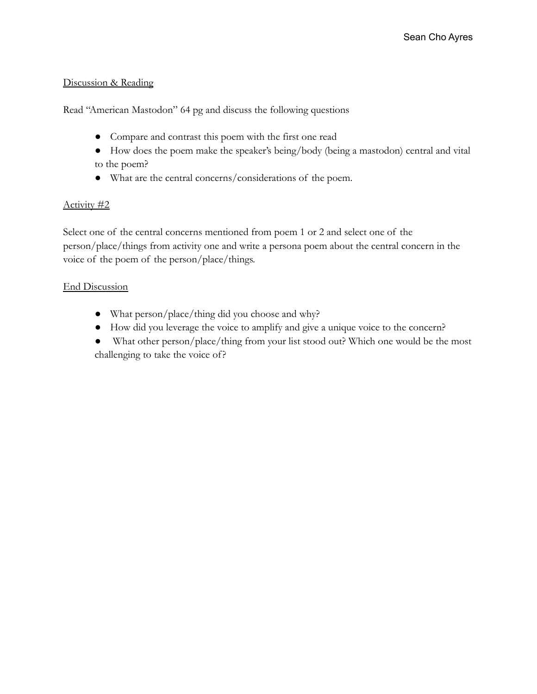# Discussion & Reading

Read "American Mastodon" 64 pg and discuss the following questions

- Compare and contrast this poem with the first one read
- How does the poem make the speaker's being/body (being a mastodon) central and vital to the poem?
- What are the central concerns/considerations of the poem.

# Activity #2

Select one of the central concerns mentioned from poem 1 or 2 and select one of the person/place/things from activity one and write a persona poem about the central concern in the voice of the poem of the person/place/things.

# End Discussion

- What person/place/thing did you choose and why?
- How did you leverage the voice to amplify and give a unique voice to the concern?
- What other person/place/thing from your list stood out? Which one would be the most challenging to take the voice of?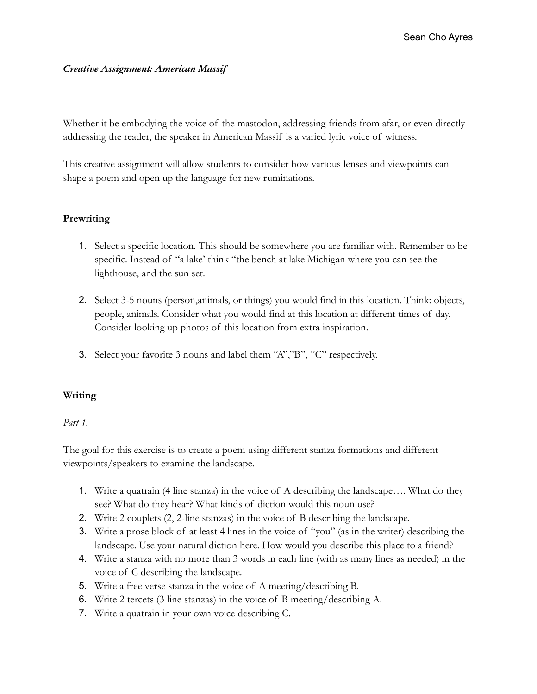## *Creative Assignment: American Massif*

Whether it be embodying the voice of the mastodon, addressing friends from afar, or even directly addressing the reader, the speaker in American Massif is a varied lyric voice of witness.

This creative assignment will allow students to consider how various lenses and viewpoints can shape a poem and open up the language for new ruminations.

# **Prewriting**

- 1. Select a specific location. This should be somewhere you are familiar with. Remember to be specific. Instead of "a lake' think "the bench at lake Michigan where you can see the lighthouse, and the sun set.
- 2. Select 3-5 nouns (person,animals, or things) you would find in this location. Think: objects, people, animals. Consider what you would find at this location at different times of day. Consider looking up photos of this location from extra inspiration.
- 3. Select your favorite 3 nouns and label them "A","B", "C" respectively.

## **Writing**

## *Part 1.*

The goal for this exercise is to create a poem using different stanza formations and different viewpoints/speakers to examine the landscape.

- 1. Write a quatrain (4 line stanza) in the voice of A describing the landscape…. What do they see? What do they hear? What kinds of diction would this noun use?
- 2. Write 2 couplets (2, 2-line stanzas) in the voice of B describing the landscape.
- 3. Write a prose block of at least 4 lines in the voice of "you" (as in the writer) describing the landscape. Use your natural diction here. How would you describe this place to a friend?
- 4. Write a stanza with no more than 3 words in each line (with as many lines as needed) in the voice of C describing the landscape.
- 5. Write a free verse stanza in the voice of A meeting/describing B.
- 6. Write 2 tercets (3 line stanzas) in the voice of B meeting/describing A.
- 7. Write a quatrain in your own voice describing C.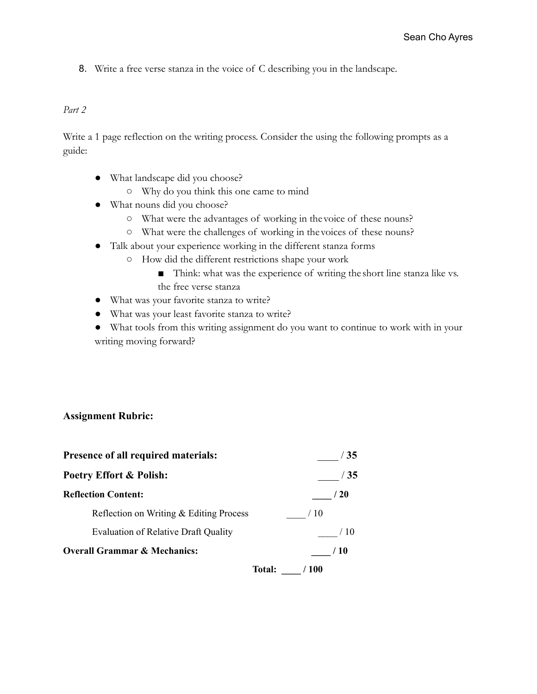8. Write a free verse stanza in the voice of C describing you in the landscape.

#### *Part 2*

Write a 1 page reflection on the writing process. Consider the using the following prompts as a guide:

- What landscape did you choose?
	- Why do you think this one came to mind
- What nouns did you choose?
	- What were the advantages of working in the voice of these nouns?
	- What were the challenges of working in the voices of these nouns?
- Talk about your experience working in the different stanza forms
	- How did the different restrictions shape your work
		- Think: what was the experience of writing the short line stanza like vs. the free verse stanza
- What was your favorite stanza to write?
- What was your least favorite stanza to write?
- What tools from this writing assignment do you want to continue to work with in your writing moving forward?

#### **Assignment Rubric:**

| Presence of all required materials:         | $\sqrt{35}$    |
|---------------------------------------------|----------------|
| <b>Poetry Effort &amp; Polish:</b>          | / 35           |
| <b>Reflection Content:</b>                  | ' 20           |
| Reflection on Writing & Editing Process     | / 10           |
| <b>Evaluation of Relative Draft Quality</b> | $^{\prime}$ 10 |
| <b>Overall Grammar &amp; Mechanics:</b>     | / 10           |
| Total:                                      | 100            |